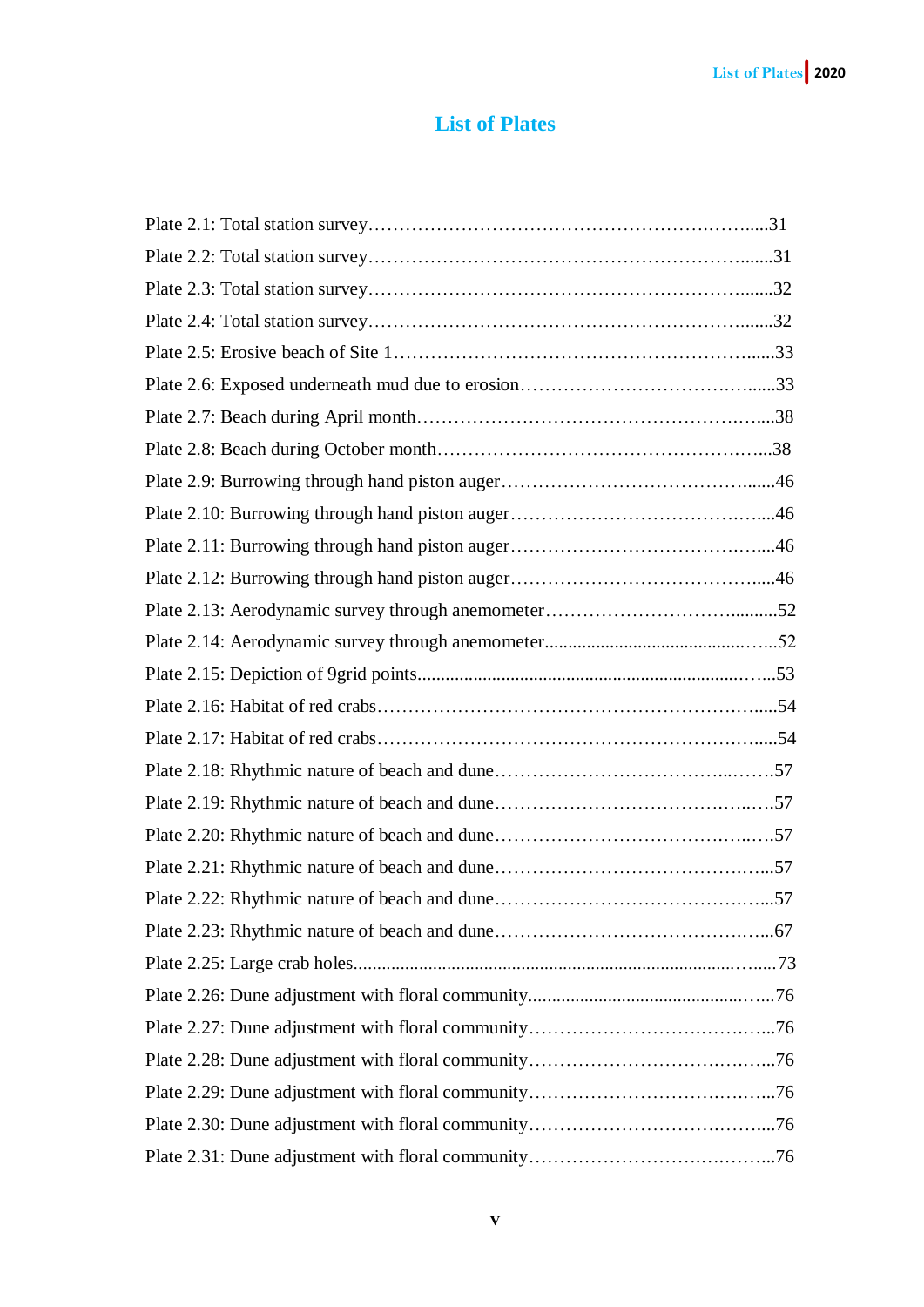## **List of Plates**